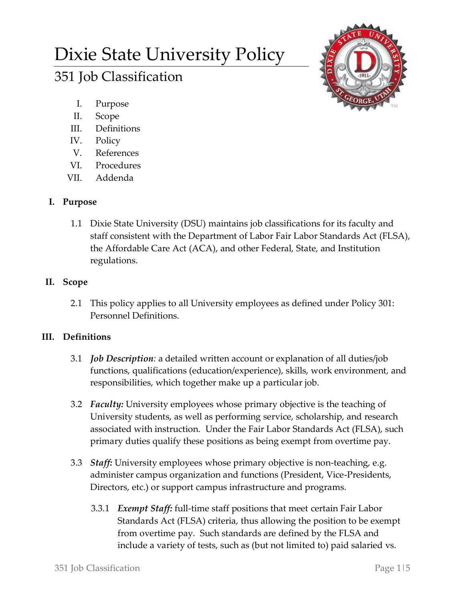# Dixie State University Policy

# 351 Job Classification

- I. Purpose
- II. Scope
- III. Definitions
- IV. Policy
- V. References
- VI. Procedures
- VII. Addenda

# **I. Purpose**

1.1 Dixie State University (DSU) maintains job classifications for its faculty and staff consistent with the Department of Labor Fair Labor Standards Act (FLSA), the Affordable Care Act (ACA), and other Federal, State, and Institution regulations.

## **II. Scope**

2.1 This policy applies to all University employees as defined under Policy 301: Personnel Definitions.

# **III. Definitions**

- 3.1 *Job Description:* a detailed written account or explanation of all duties/job functions, qualifications (education/experience), skills, work environment, and responsibilities, which together make up a particular job.
- 3.2 *Faculty:* University employees whose primary objective is the teaching of University students, as well as performing service, scholarship, and research associated with instruction. Under the Fair Labor Standards Act (FLSA), such primary duties qualify these positions as being exempt from overtime pay.
- 3.3 *Staff:* University employees whose primary objective is non-teaching, e.g. administer campus organization and functions (President, Vice-Presidents, Directors, etc.) or support campus infrastructure and programs.
	- 3.3.1 *Exempt Staff:* full-time staff positions that meet certain Fair Labor Standards Act (FLSA) criteria, thus allowing the position to be exempt from overtime pay. Such standards are defined by the FLSA and include a variety of tests, such as (but not limited to) paid salaried vs.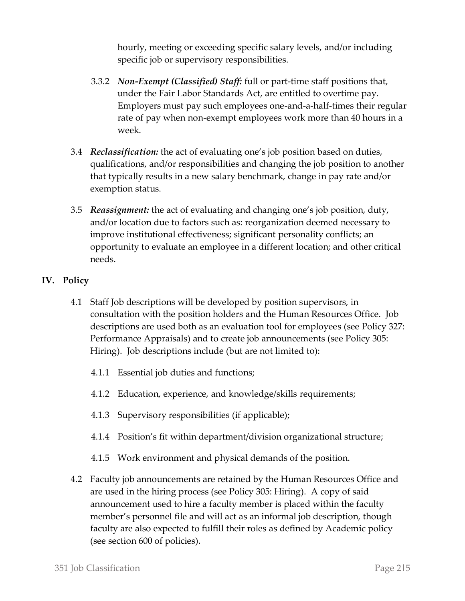hourly, meeting or exceeding specific salary levels, and/or including specific job or supervisory responsibilities.

- 3.3.2 *Non-Exempt (Classified) Staff:* full or part-time staff positions that, under the Fair Labor Standards Act, are entitled to overtime pay. Employers must pay such employees one-and-a-half-times their regular rate of pay when non-exempt employees work more than 40 hours in a week.
- 3.4 *Reclassification:* the act of evaluating one's job position based on duties, qualifications, and/or responsibilities and changing the job position to another that typically results in a new salary benchmark, change in pay rate and/or exemption status.
- 3.5 *Reassignment:* the act of evaluating and changing one's job position, duty, and/or location due to factors such as: reorganization deemed necessary to improve institutional effectiveness; significant personality conflicts; an opportunity to evaluate an employee in a different location; and other critical needs.

### **IV. Policy**

- 4.1 Staff Job descriptions will be developed by position supervisors, in consultation with the position holders and the Human Resources Office. Job descriptions are used both as an evaluation tool for employees (see Policy 327: Performance Appraisals) and to create job announcements (see Policy 305: Hiring). Job descriptions include (but are not limited to):
	- 4.1.1 Essential job duties and functions;
	- 4.1.2 Education, experience, and knowledge/skills requirements;
	- 4.1.3 Supervisory responsibilities (if applicable);
	- 4.1.4 Position's fit within department/division organizational structure;
	- 4.1.5 Work environment and physical demands of the position.
- 4.2 Faculty job announcements are retained by the Human Resources Office and are used in the hiring process (see Policy 305: Hiring). A copy of said announcement used to hire a faculty member is placed within the faculty member's personnel file and will act as an informal job description, though faculty are also expected to fulfill their roles as defined by Academic policy (see section 600 of policies).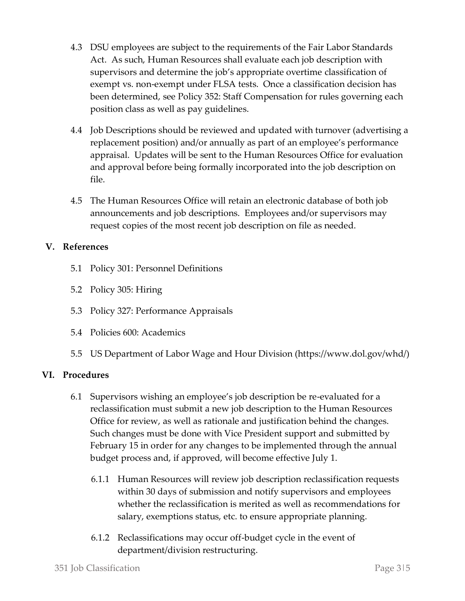- 4.3 DSU employees are subject to the requirements of the Fair Labor Standards Act. As such, Human Resources shall evaluate each job description with supervisors and determine the job's appropriate overtime classification of exempt vs. non-exempt under FLSA tests. Once a classification decision has been determined, see Policy 352: Staff Compensation for rules governing each position class as well as pay guidelines.
- 4.4 Job Descriptions should be reviewed and updated with turnover (advertising a replacement position) and/or annually as part of an employee's performance appraisal. Updates will be sent to the Human Resources Office for evaluation and approval before being formally incorporated into the job description on file.
- 4.5 The Human Resources Office will retain an electronic database of both job announcements and job descriptions. Employees and/or supervisors may request copies of the most recent job description on file as needed.

#### **V. References**

- 5.1 Policy 301: Personnel Definitions
- 5.2 Policy 305: Hiring
- 5.3 Policy 327: Performance Appraisals
- 5.4 Policies 600: Academics
- 5.5 US Department of Labor Wage and Hour Division (https://www.dol.gov/whd/)

#### **VI. Procedures**

- 6.1 Supervisors wishing an employee's job description be re-evaluated for a reclassification must submit a new job description to the Human Resources Office for review, as well as rationale and justification behind the changes. Such changes must be done with Vice President support and submitted by February 15 in order for any changes to be implemented through the annual budget process and, if approved, will become effective July 1.
	- 6.1.1 Human Resources will review job description reclassification requests within 30 days of submission and notify supervisors and employees whether the reclassification is merited as well as recommendations for salary, exemptions status, etc. to ensure appropriate planning.
	- 6.1.2 Reclassifications may occur off-budget cycle in the event of department/division restructuring.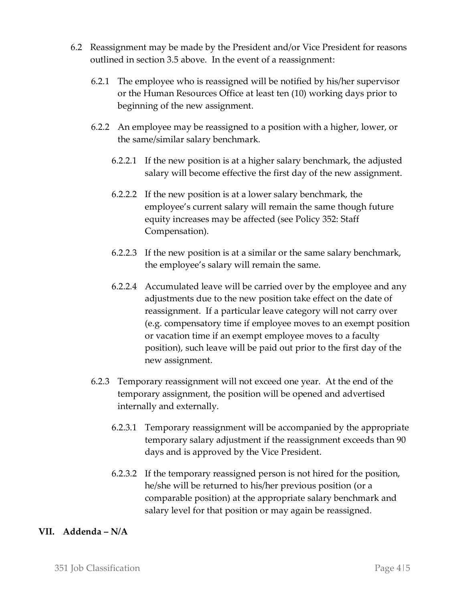- 6.2 Reassignment may be made by the President and/or Vice President for reasons outlined in section 3.5 above. In the event of a reassignment:
	- 6.2.1 The employee who is reassigned will be notified by his/her supervisor or the Human Resources Office at least ten (10) working days prior to beginning of the new assignment.
	- 6.2.2 An employee may be reassigned to a position with a higher, lower, or the same/similar salary benchmark.
		- 6.2.2.1 If the new position is at a higher salary benchmark, the adjusted salary will become effective the first day of the new assignment.
		- 6.2.2.2 If the new position is at a lower salary benchmark, the employee's current salary will remain the same though future equity increases may be affected (see Policy 352: Staff Compensation).
		- 6.2.2.3 If the new position is at a similar or the same salary benchmark, the employee's salary will remain the same.
		- 6.2.2.4 Accumulated leave will be carried over by the employee and any adjustments due to the new position take effect on the date of reassignment. If a particular leave category will not carry over (e.g. compensatory time if employee moves to an exempt position or vacation time if an exempt employee moves to a faculty position), such leave will be paid out prior to the first day of the new assignment.
	- 6.2.3 Temporary reassignment will not exceed one year. At the end of the temporary assignment, the position will be opened and advertised internally and externally.
		- 6.2.3.1 Temporary reassignment will be accompanied by the appropriate temporary salary adjustment if the reassignment exceeds than 90 days and is approved by the Vice President.
		- 6.2.3.2 If the temporary reassigned person is not hired for the position, he/she will be returned to his/her previous position (or a comparable position) at the appropriate salary benchmark and salary level for that position or may again be reassigned.

#### **VII. Addenda – N/A**